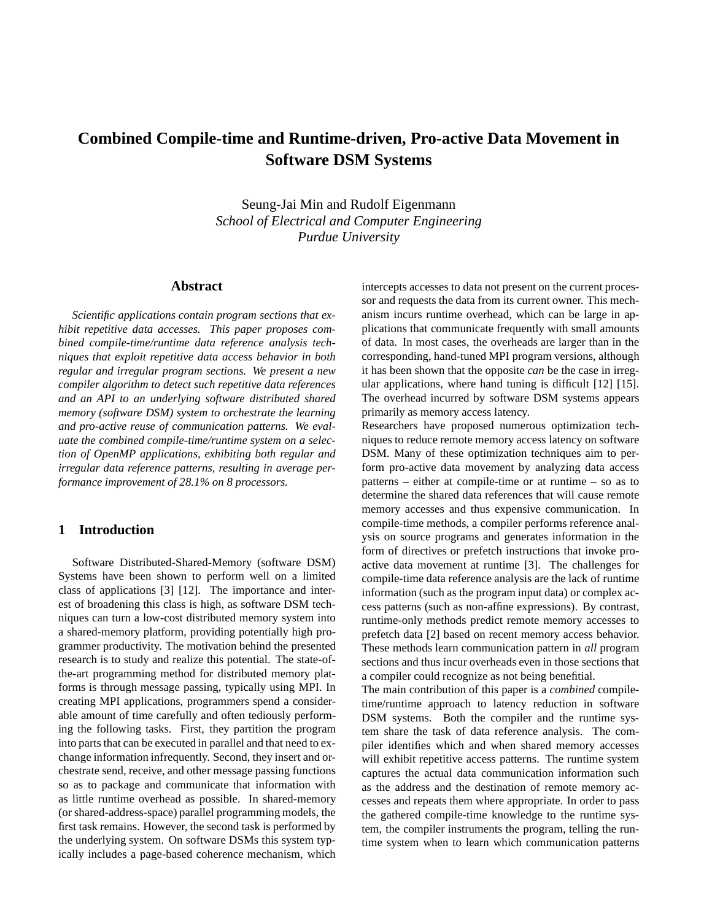# **Combined Compile-time and Runtime-driven, Pro-active Data Movement in Software DSM Systems**

Seung-Jai Min and Rudolf Eigenmann *School of Electrical and Computer Engineering Purdue University*

### **Abstract**

*Scientific applications contain program sections that exhibit repetitive data accesses. This paper proposes combined compile-time/runtime data reference analysis techniques that exploit repetitive data access behavior in both regular and irregular program sections. We present a new compiler algorithm to detect such repetitive data references and an API to an underlying software distributed shared memory (software DSM) system to orchestrate the learning and pro-active reuse of communication patterns. We evaluate the combined compile-time/runtime system on a selection of OpenMP applications, exhibiting both regular and irregular data reference patterns, resulting in average performance improvement of 28.1% on 8 processors.*

## **1 Introduction**

Software Distributed-Shared-Memory (software DSM) Systems have been shown to perform well on a limited class of applications [3] [12]. The importance and interest of broadening this class is high, as software DSM techniques can turn a low-cost distributed memory system into a shared-memory platform, providing potentially high programmer productivity. The motivation behind the presented research is to study and realize this potential. The state-ofthe-art programming method for distributed memory platforms is through message passing, typically using MPI. In creating MPI applications, programmers spend a considerable amount of time carefully and often tediously performing the following tasks. First, they partition the program into parts that can be executed in parallel and that need to exchange information infrequently. Second, they insert and orchestrate send, receive, and other message passing functions so as to package and communicate that information with as little runtime overhead as possible. In shared-memory (or shared-address-space) parallel programming models, the first task remains. However, the second task is performed by the underlying system. On software DSMs this system typically includes a page-based coherence mechanism, which intercepts accesses to data not present on the current processor and requests the data from its current owner. This mechanism incurs runtime overhead, which can be large in applications that communicate frequently with small amounts of data. In most cases, the overheads are larger than in the corresponding, hand-tuned MPI program versions, although it has been shown that the opposite *can* be the case in irregular applications, where hand tuning is difficult [12] [15]. The overhead incurred by software DSM systems appears primarily as memory access latency.

Researchers have proposed numerous optimization techniques to reduce remote memory access latency on software DSM. Many of these optimization techniques aim to perform pro-active data movement by analyzing data access patterns – either at compile-time or at runtime – so as to determine the shared data references that will cause remote memory accesses and thus expensive communication. In compile-time methods, a compiler performs reference analysis on source programs and generates information in the form of directives or prefetch instructions that invoke proactive data movement at runtime [3]. The challenges for compile-time data reference analysis are the lack of runtime information (such as the program input data) or complex access patterns (such as non-affine expressions). By contrast, runtime-only methods predict remote memory accesses to prefetch data [2] based on recent memory access behavior. These methods learn communication pattern in *all* program sections and thus incur overheads even in those sections that a compiler could recognize as not being benefitial.

The main contribution of this paper is a *combined* compiletime/runtime approach to latency reduction in software DSM systems. Both the compiler and the runtime system share the task of data reference analysis. The compiler identifies which and when shared memory accesses will exhibit repetitive access patterns. The runtime system captures the actual data communication information such as the address and the destination of remote memory accesses and repeats them where appropriate. In order to pass the gathered compile-time knowledge to the runtime system, the compiler instruments the program, telling the runtime system when to learn which communication patterns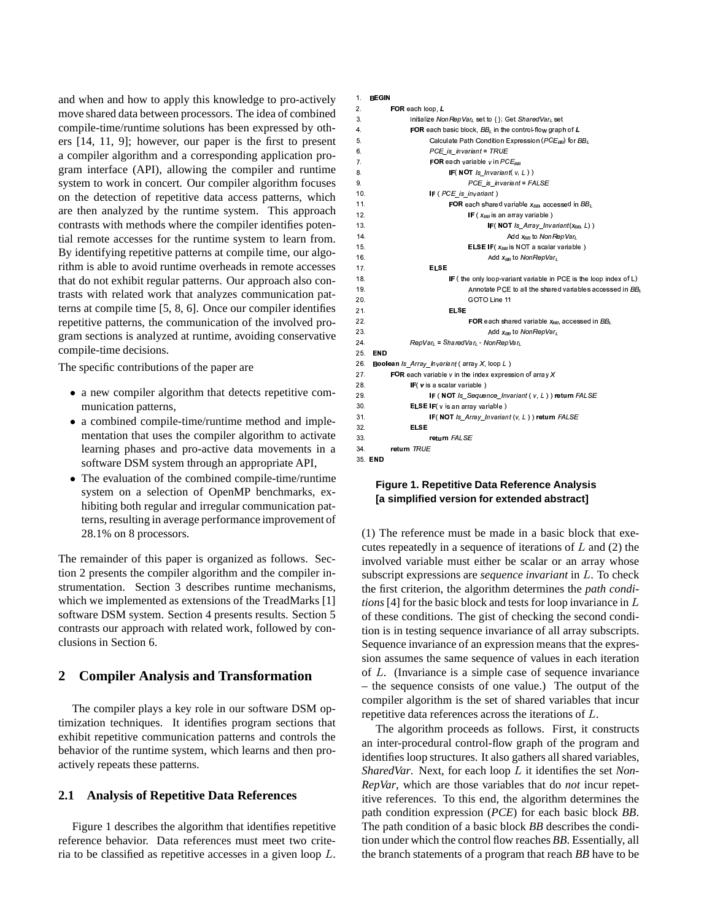and when and how to apply this knowledge to pro-actively move shared data between processors. The idea of combined compile-time/runtime solutions has been expressed by others [14, 11, 9]; however, our paper is the first to present a compiler algorithm and a corresponding application program interface (API), allowing the compiler and runtime system to work in concert. Our compiler algorithm focuses on the detection of repetitive data access patterns, which are then analyzed by the runtime system. This approach contrasts with methods where the compiler identifies potential remote accesses for the runtime system to learn from. By identifying repetitive patterns at compile time, our algorithm is able to avoid runtime overheads in remote accesses that do not exhibit regular patterns. Our approach also contrasts with related work that analyzes communication patterns at compile time [5, 8, 6]. Once our compiler identifies repetitive patterns, the communication of the involved program sections is analyzed at runtime, avoiding conservative compile-time decisions.

The specific contributions of the paper are

- a new compiler algorithm that detects repetitive communication patterns,
- a combined compile-time/runtime method and implementation that uses the compiler algorithm to activate learning phases and pro-active data movements in a software DSM system through an appropriate API,
- The evaluation of the combined compile-time/runtime system on a selection of OpenMP benchmarks, exhibiting both regular and irregular communication patterns, resulting in average performance improvement of 28.1% on 8 processors.

The remainder of this paper is organized as follows. Section 2 presents the compiler algorithm and the compiler instrumentation. Section 3 describes runtime mechanisms, which we implemented as extensions of the TreadMarks [1] software DSM system. Section 4 presents results. Section 5 contrasts our approach with related work, followed by conclusions in Section 6.

## **2 Compiler Analysis and Transformation**

The compiler plays a key role in our software DSM optimization techniques. It identifies program sections that exhibit repetitive communication patterns and controls the behavior of the runtime system, which learns and then proactively repeats these patterns.

## **2.1 Analysis of Repetitive Data References**

Figure 1 describes the algorithm that identifies repetitive reference behavior. Data references must meet two criteria to be classified as repetitive accesses in a given loop L.

#### 1 BEGIN  $\sim$  0.000  $\sim$  0.000  $\sim$  0.000  $\sim$  0.000  $\sim$  0.000  $\sim$  0.000  $\sim$  0.000  $\sim$  0.000  $\sim$  0.000  $\sim$  0.000  $\sim$  0.000  $\sim$  0.000  $\sim$  0.000  $\sim$  0.000  $\sim$  0.000  $\sim$  0.000  $\sim$  0.000  $\sim$  0.000  $\sim$  0.000  $\sim$  0.000 2 **EOR** each loop *I* 3 Initialize NonRepVar<sub>L</sub> set to { } Get SharedVar<sub>L</sub> set 4 **EOR** each basic block  $BB$ , in the control-flow graph of  $I$ 5. Calculate Path Condition Expression (PCEBB) for BBL 6. PCE is invariant = TRUE 7 **EQR** each variable v in  $PCF_{\text{ee}}$  $\mathsf{IF}(\mathsf{NOT}\mathsf{Is\_Invariant}(\mathsf{v}, \mathsf{L}))$ 9. PCE\_is\_invariant = FALSE 10. **IF** (*PCE\_is\_invariant*) 11 **EOR** each shared variable  $x_{02}$  accessed in BB. 12. **IF**  $(x_{BB}$  is an array variable  $)$ 13 **IF (NOT**  $Is\_Array\_Invariant(x_{BB}, L)$ ) 14.  $Add \, x_{BB}$  to  $NonRep \, Var_L$ 15. **ELSE IF** (*X<sub>BB</sub>* is NOT a scalar variable ) 16.  $Add \, x_{BB}$  to  $NonRep \, Var$ 17 **FISE** FISE 18. IF (the only loop-variant variable in PCE is the loop index of L) 19. Containing the shared variables accessed in BB, the shared variables accessed in BB, 20. COTO Line 11  $21$  FISE 22 **EXECUTE:** FOR each shared variable  $x_{\text{ee}}$  accessed in BB. 23. Add  $x_{BB}$  to  $NonRepVar<sub>l</sub>$ 24  $RepVar_{L} = SharedVar_{L}$  .  $NonRepVar_{L}$ 25. END 26. Boolean *Is Array Invariant* (array X, loop L) 27 **EOR** each variable v in the index expression of array  $X$ 28. **IF** (v is a scalar variable) 29 **IF (NOT Is\_Sequence\_Invariant (v, L))** return FALSE 30.  $E LSE IF(v is an array variable)$ 31. **IF(NOT Is\_Array\_Invariant (v, L))** return FALSE  $32$  FigF 33. Teturn FALSE 34 return TRUE 35 **END**

## **Figure 1. Repetitive Data Reference Analysis [a simplified version for extended abstract]**

(1) The reference must be made in a basic block that executes repeatedly in a sequence of iterations of  $L$  and  $(2)$  the involved variable must either be scalar or an array whose subscript expressions are *sequence invariant* in L. To check the first criterion, the algorithm determines the *path conditions* [4] for the basic block and tests for loop invariance in L of these conditions. The gist of checking the second condition is in testing sequence invariance of all array subscripts. Sequence invariance of an expression means that the expression assumes the same sequence of values in each iteration of L. (Invariance is a simple case of sequence invariance – the sequence consists of one value.) The output of the compiler algorithm is the set of shared variables that incur repetitive data references across the iterations of L.

The algorithm proceeds as follows. First, it constructs an inter-procedural control-flow graph of the program and identifies loop structures. It also gathers all shared variables, *SharedVar*. Next, for each loop L it identifies the set *Non-RepVar*, which are those variables that do *not* incur repetitive references. To this end, the algorithm determines the path condition expression (*PCE*) for each basic block *BB*. The path condition of a basic block *BB* describes the condition under which the control flow reaches *BB*. Essentially, all the branch statements of a program that reach *BB* have to be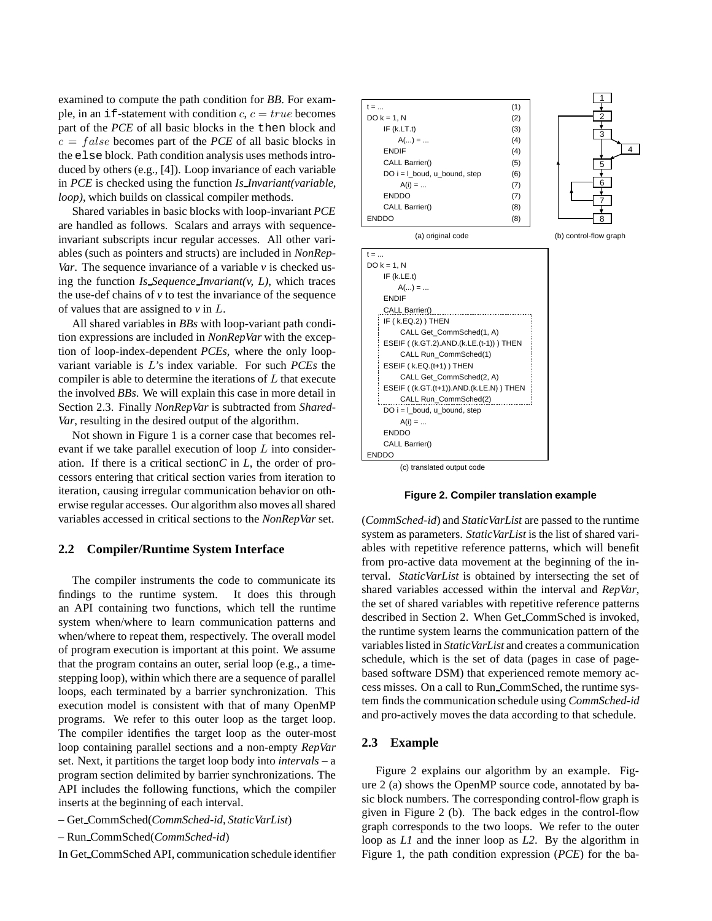examined to compute the path condition for *BB*. For example, in an if-statement with condition  $c, c = true$  becomes part of the *PCE* of all basic blocks in the then block and  $c = false$  becomes part of the *PCE* of all basic blocks in the else block. Path condition analysis uses methods introduced by others (e.g., [4]). Loop invariance of each variable in *PCE* is checked using the function *Is Invariant(variable, loop)*, which builds on classical compiler methods.

Shared variables in basic blocks with loop-invariant *PCE* are handled as follows. Scalars and arrays with sequenceinvariant subscripts incur regular accesses. All other variables (such as pointers and structs) are included in *NonRep-Var*. The sequence invariance of a variable *v* is checked using the function *Is Sequence Invariant(v, L)*, which traces the use-def chains of  $\nu$  to test the invariance of the sequence of values that are assigned to *v* in L.

All shared variables in *BBs* with loop-variant path condition expressions are included in *NonRepVar* with the exception of loop-index-dependent *PCEs*, where the only loopvariant variable is L's index variable. For such *PCEs* the compiler is able to determine the iterations of  $L$  that execute the involved *BBs*. We will explain this case in more detail in Section 2.3. Finally *NonRepVar* is subtracted from *Shared-Var*, resulting in the desired output of the algorithm.

Not shown in Figure 1 is a corner case that becomes relevant if we take parallel execution of loop  $L$  into consideration. If there is a critical section*C* in *L*, the order of processors entering that critical section varies from iteration to iteration, causing irregular communication behavior on otherwise regular accesses. Our algorithm also moves all shared variables accessed in critical sections to the *NonRepVar* set.

## **2.2 Compiler/Runtime System Interface**

The compiler instruments the code to communicate its findings to the runtime system. It does this through an API containing two functions, which tell the runtime system when/where to learn communication patterns and when/where to repeat them, respectively. The overall model of program execution is important at this point. We assume that the program contains an outer, serial loop (e.g., a timestepping loop), within which there are a sequence of parallel loops, each terminated by a barrier synchronization. This execution model is consistent with that of many OpenMP programs. We refer to this outer loop as the target loop. The compiler identifies the target loop as the outer-most loop containing parallel sections and a non-empty *RepVar* set. Next, it partitions the target loop body into *intervals* – a program section delimited by barrier synchronizations. The API includes the following functions, which the compiler inserts at the beginning of each interval.

– Get CommSched(*CommSched-id*, *StaticVarList*)

– Run CommSched(*CommSched-id*)

In Get CommSched API, communication schedule identifier



**Figure 2. Compiler translation example**

(*CommSched-id*) and *StaticVarList* are passed to the runtime system as parameters. *StaticVarList* is the list of shared variables with repetitive reference patterns, which will benefit from pro-active data movement at the beginning of the interval. *StaticVarList* is obtained by intersecting the set of shared variables accessed within the interval and *RepVar*, the set of shared variables with repetitive reference patterns described in Section 2. When Get CommSched is invoked, the runtime system learns the communication pattern of the variables listed in *StaticVarList* and creates a communication schedule, which is the set of data (pages in case of pagebased software DSM) that experienced remote memory access misses. On a call to Run CommSched, the runtime system finds the communication schedule using *CommSched-id* and pro-actively moves the data according to that schedule.

#### **2.3 Example**

Figure 2 explains our algorithm by an example. Figure 2 (a) shows the OpenMP source code, annotated by basic block numbers. The corresponding control-flow graph is given in Figure 2 (b). The back edges in the control-flow graph corresponds to the two loops. We refer to the outer loop as *L1* and the inner loop as *L2*. By the algorithm in Figure 1, the path condition expression (*PCE*) for the ba-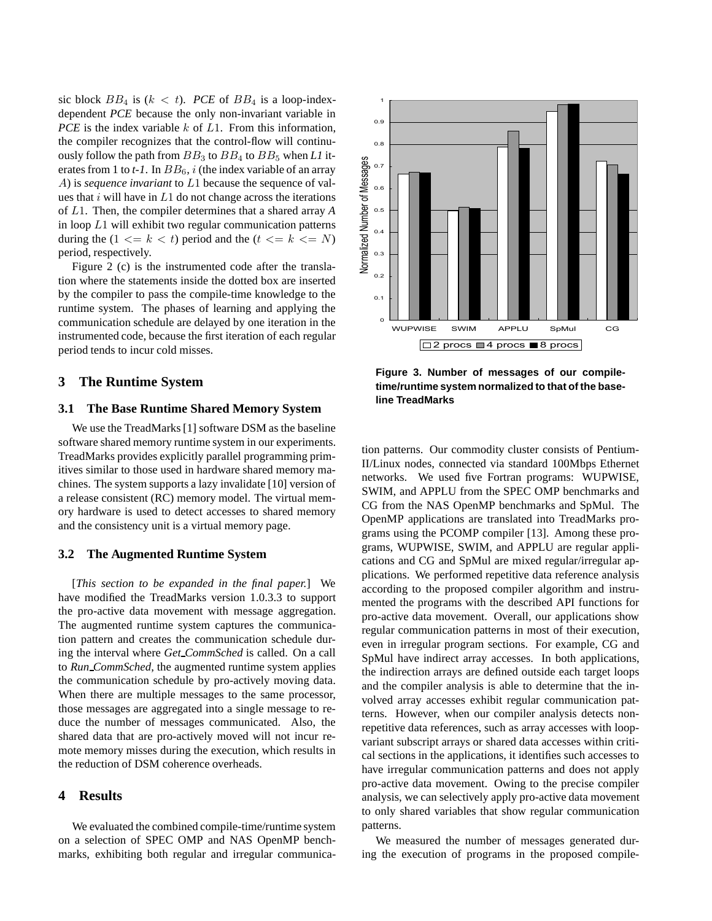sic block  $BB_4$  is  $(k < t)$ . *PCE* of  $BB_4$  is a loop-indexdependent *PCE* because the only non-invariant variable in *PCE* is the index variable k of L1. From this information, the compiler recognizes that the control-flow will continuously follow the path from  $BB_3$  to  $BB_4$  to  $BB_5$  when *L1* iterates from 1 to  $t$ -1. In  $BB_6$ , i (the index variable of an array A) is *sequence invariant* to L1 because the sequence of values that  $i$  will have in  $L1$  do not change across the iterations of L1. Then, the compiler determines that a shared array *A* in loop L1 will exhibit two regular communication patterns during the  $(1 \le k \le t)$  period and the  $(t \le k \le N)$ period, respectively.

Figure 2 (c) is the instrumented code after the translation where the statements inside the dotted box are inserted by the compiler to pass the compile-time knowledge to the runtime system. The phases of learning and applying the communication schedule are delayed by one iteration in the instrumented code, because the first iteration of each regular period tends to incur cold misses.

## **3 The Runtime System**

## **3.1 The Base Runtime Shared Memory System**

We use the TreadMarks [1] software DSM as the baseline software shared memory runtime system in our experiments. TreadMarks provides explicitly parallel programming primitives similar to those used in hardware shared memory machines. The system supports a lazy invalidate [10] version of a release consistent (RC) memory model. The virtual memory hardware is used to detect accesses to shared memory and the consistency unit is a virtual memory page.

### **3.2 The Augmented Runtime System**

[*This section to be expanded in the final paper.*] We have modified the TreadMarks version 1.0.3.3 to support the pro-active data movement with message aggregation. The augmented runtime system captures the communication pattern and creates the communication schedule during the interval where *Get CommSched* is called. On a call to *Run CommSched*, the augmented runtime system applies the communication schedule by pro-actively moving data. When there are multiple messages to the same processor, those messages are aggregated into a single message to reduce the number of messages communicated. Also, the shared data that are pro-actively moved will not incur remote memory misses during the execution, which results in the reduction of DSM coherence overheads.

## **4 Results**

We evaluated the combined compile-time/runtime system on a selection of SPEC OMP and NAS OpenMP benchmarks, exhibiting both regular and irregular communica-



**Figure 3. Number of messages of our compiletime/runtime system normalized to that of the baseline TreadMarks**

tion patterns. Our commodity cluster consists of Pentium-II/Linux nodes, connected via standard 100Mbps Ethernet networks. We used five Fortran programs: WUPWISE, SWIM, and APPLU from the SPEC OMP benchmarks and CG from the NAS OpenMP benchmarks and SpMul. The OpenMP applications are translated into TreadMarks programs using the PCOMP compiler [13]. Among these programs, WUPWISE, SWIM, and APPLU are regular applications and CG and SpMul are mixed regular/irregular applications. We performed repetitive data reference analysis according to the proposed compiler algorithm and instrumented the programs with the described API functions for pro-active data movement. Overall, our applications show regular communication patterns in most of their execution, even in irregular program sections. For example, CG and SpMul have indirect array accesses. In both applications, the indirection arrays are defined outside each target loops and the compiler analysis is able to determine that the involved array accesses exhibit regular communication patterns. However, when our compiler analysis detects nonrepetitive data references, such as array accesses with loopvariant subscript arrays or shared data accesses within critical sections in the applications, it identifies such accesses to have irregular communication patterns and does not apply pro-active data movement. Owing to the precise compiler analysis, we can selectively apply pro-active data movement to only shared variables that show regular communication patterns.

We measured the number of messages generated during the execution of programs in the proposed compile-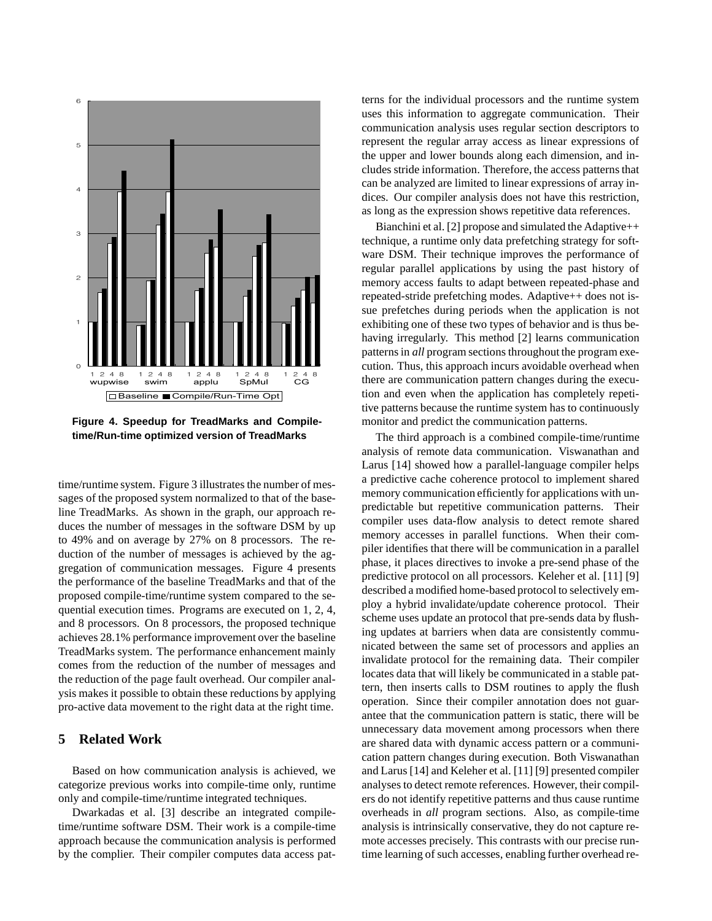

**Figure 4. Speedup for TreadMarks and Compiletime/Run-time optimized version of TreadMarks**

time/runtime system. Figure 3 illustrates the number of messages of the proposed system normalized to that of the baseline TreadMarks. As shown in the graph, our approach reduces the number of messages in the software DSM by up to 49% and on average by 27% on 8 processors. The reduction of the number of messages is achieved by the aggregation of communication messages. Figure 4 presents the performance of the baseline TreadMarks and that of the proposed compile-time/runtime system compared to the sequential execution times. Programs are executed on 1, 2, 4, and 8 processors. On 8 processors, the proposed technique achieves 28.1% performance improvement over the baseline TreadMarks system. The performance enhancement mainly comes from the reduction of the number of messages and the reduction of the page fault overhead. Our compiler analysis makes it possible to obtain these reductions by applying pro-active data movement to the right data at the right time.

## **5 Related Work**

Based on how communication analysis is achieved, we categorize previous works into compile-time only, runtime only and compile-time/runtime integrated techniques.

Dwarkadas et al. [3] describe an integrated compiletime/runtime software DSM. Their work is a compile-time approach because the communication analysis is performed by the complier. Their compiler computes data access patterns for the individual processors and the runtime system uses this information to aggregate communication. Their communication analysis uses regular section descriptors to represent the regular array access as linear expressions of the upper and lower bounds along each dimension, and includes stride information. Therefore, the access patterns that can be analyzed are limited to linear expressions of array indices. Our compiler analysis does not have this restriction, as long as the expression shows repetitive data references.

Bianchini et al. [2] propose and simulated the Adaptive++ technique, a runtime only data prefetching strategy for software DSM. Their technique improves the performance of regular parallel applications by using the past history of memory access faults to adapt between repeated-phase and repeated-stride prefetching modes. Adaptive++ does not issue prefetches during periods when the application is not exhibiting one of these two types of behavior and is thus behaving irregularly. This method [2] learns communication patterns in *all* program sections throughout the program execution. Thus, this approach incurs avoidable overhead when there are communication pattern changes during the execution and even when the application has completely repetitive patterns because the runtime system has to continuously monitor and predict the communication patterns.

The third approach is a combined compile-time/runtime analysis of remote data communication. Viswanathan and Larus [14] showed how a parallel-language compiler helps a predictive cache coherence protocol to implement shared memory communication efficiently for applications with unpredictable but repetitive communication patterns. Their compiler uses data-flow analysis to detect remote shared memory accesses in parallel functions. When their compiler identifies that there will be communication in a parallel phase, it places directives to invoke a pre-send phase of the predictive protocol on all processors. Keleher et al. [11] [9] described a modified home-based protocol to selectively employ a hybrid invalidate/update coherence protocol. Their scheme uses update an protocol that pre-sends data by flushing updates at barriers when data are consistently communicated between the same set of processors and applies an invalidate protocol for the remaining data. Their compiler locates data that will likely be communicated in a stable pattern, then inserts calls to DSM routines to apply the flush operation. Since their compiler annotation does not guarantee that the communication pattern is static, there will be unnecessary data movement among processors when there are shared data with dynamic access pattern or a communication pattern changes during execution. Both Viswanathan and Larus [14] and Keleher et al. [11] [9] presented compiler analyses to detect remote references. However, their compilers do not identify repetitive patterns and thus cause runtime overheads in *all* program sections. Also, as compile-time analysis is intrinsically conservative, they do not capture remote accesses precisely. This contrasts with our precise runtime learning of such accesses, enabling further overhead re